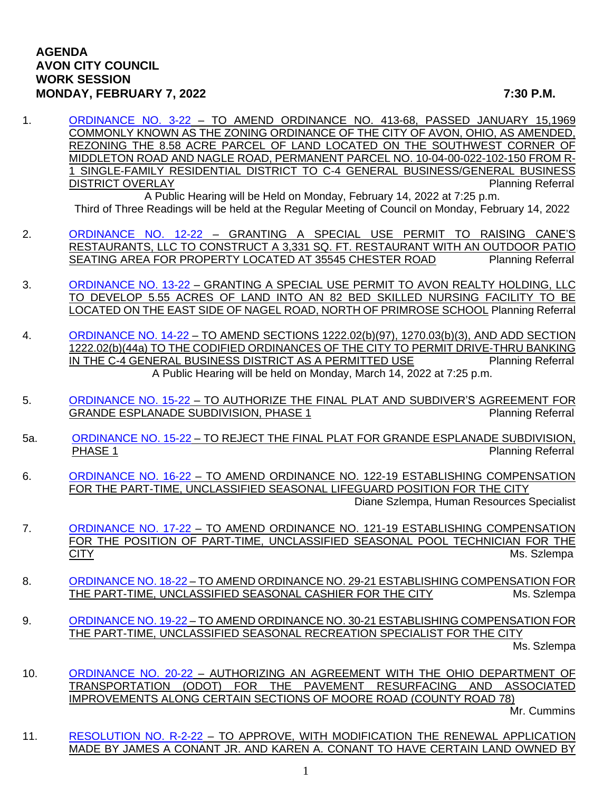## **AGENDA AVON CITY COUNCIL WORK SESSION MONDAY, FEBRUARY 7, 2022 7:30 P.M.**

- 
- 1. [ORDINANCE NO. 3-22](https://www.cityofavon.com/DocumentCenter/View/7510/Ordinance-No-3-22-jag-Rezoning---LIG-Land-LLC) TO AMEND ORDINANCE NO. 413-68, PASSED JANUARY 15,1969 COMMONLY KNOWN AS THE ZONING ORDINANCE OF THE CITY OF AVON, OHIO, AS AMENDED, REZONING THE 8.58 ACRE PARCEL OF LAND LOCATED ON THE SOUTHWEST CORNER OF MIDDLETON ROAD AND NAGLE ROAD, PERMANENT PARCEL NO. 10-04-00-022-102-150 FROM R-1 SINGLE-FAMILY RESIDENTIAL DISTRICT TO C-4 GENERAL BUSINESS/GENERAL BUSINESS DISTRICT OVERLAY Planning Referral

A Public Hearing will be Held on Monday, February 14, 2022 at 7:25 p.m. Third of Three Readings will be held at the Regular Meeting of Council on Monday, February 14, 2022

- 2. [ORDINANCE NO. 12-22](https://www.cityofavon.com/DocumentCenter/View/7598/Ordinance-No-12-22---Raising-Cane-SUP_) GRANTING A SPECIAL USE PERMIT TO RAISING CANE'S RESTAURANTS, LLC TO CONSTRUCT A 3,331 SQ. FT. RESTAURANT WITH AN OUTDOOR PATIO SEATING AREA FOR PROPERTY LOCATED AT 35545 CHESTER ROAD Planning Referral
- 3. [ORDINANCE NO. 13-22](https://www.cityofavon.com/DocumentCenter/View/7599/Ordinance-No-13-22-Avon-Skilled-Nursing---SUP) GRANTING A SPECIAL USE PERMIT TO AVON REALTY HOLDING, LLC TO DEVELOP 5.55 ACRES OF LAND INTO AN 82 BED SKILLED NURSING FACILITY TO BE LOCATED ON THE EAST SIDE OF NAGEL ROAD, NORTH OF PRIMROSE SCHOOL Planning Referral
- 4. [ORDINANCE NO. 14-22](https://www.cityofavon.com/DocumentCenter/View/7612/Ordinance-No-14-22-Drive-thru-Teller-Legislation) TO AMEND SECTIONS 1222.02(b)(97), 1270.03(b)(3), AND ADD SECTION 1222.02(b)(44a) TO THE CODIFIED ORDINANCES OF THE CITY TO PERMIT DRIVE-THRU BANKING<br>IN THE C-4 GENERAL BUSINESS DISTRICT AS A PERMITTED USE Planning Referral IN THE C-4 GENERAL BUSINESS DISTRICT AS A PERMITTED USE A Public Hearing will be held on Monday, March 14, 2022 at 7:25 p.m.
- 5. [ORDINANCE NO. 15-22](https://www.cityofavon.com/DocumentCenter/View/7601/Ordinance-No-15-22-Authorizing-Final-Plat-Grande-Esplanade) TO AUTHORIZE THE FINAL PLAT AND SUBDIVER'S AGREEMENT FOR GRANDE ESPLANADE SUBDIVISION, PHASE 1 Planning Referral
- 5a. [ORDINANCE NO. 15-22](https://www.cityofavon.com/DocumentCenter/View/7602/Ordinance-No-15-22-Rejecting-Final-Plat-Grande-Esplanade) TO REJECT THE FINAL PLAT FOR GRANDE ESPLANADE SUBDIVISION.<br>PHASE 1 Planning Referral
- 6. [ORDINANCE NO. 16-22](https://www.cityofavon.com/DocumentCenter/View/7603/Ordinance-No-16-22---PT--Lifeguard---Pay) TO AMEND ORDINANCE NO. 122-19 ESTABLISHING COMPENSATION FOR THE PART-TIME, UNCLASSIFIED SEASONAL LIFEGUARD POSITION FOR THE CITY

Diane Szlempa, Human Resources Specialist

- 7. [ORDINANCE NO. 17-22](https://www.cityofavon.com/DocumentCenter/View/7604/Ordinance-No-17-22---Amend----PT--Pool-Tech---Pay) TO AMEND ORDINANCE NO. 121-19 ESTABLISHING COMPENSATION FOR THE POSITION OF PART-TIME, UNCLASSIFIED SEASONAL POOL TECHNICIAN FOR THE CITY Ms. Szlempa
- 8. [ORDINANCE NO. 18-22](https://www.cityofavon.com/DocumentCenter/View/7605/Ordinance-No-18-22-Amend-PT--Seasonal-Cashier--Pay) TO AMEND ORDINANCE NO. 29-21 ESTABLISHING COMPENSATION FOR THE PART-TIME, UNCLASSIFIED SEASONAL CASHIER FOR THE CITY Ms. Szlempa
- 9. [ORDINANCE NO. 19-22](https://www.cityofavon.com/DocumentCenter/View/7606/Ordinance-No-19-22--Amend-PT--Season-Recreation-Specialist--Pay) TO AMEND ORDINANCE NO. 30-21 ESTABLISHING COMPENSATION FOR THE PART-TIME, UNCLASSIFIED SEASONAL RECREATION SPECIALIST FOR THE CITY

Ms. Szlempa

10. [ORDINANCE NO. 20-22](https://www.cityofavon.com/DocumentCenter/View/7600/Ordinance-No-20-22-ODOT-Moore-Road-Paving-Final) - AUTHORIZING AN AGREEMENT WITH THE OHIO DEPARTMENT OF TRANSPORTATION (ODOT) FOR THE PAVEMENT RESURFACING AND ASSOCIATED IMPROVEMENTS ALONG CERTAIN SECTIONS OF MOORE ROAD (COUNTY ROAD 78)

Mr. Cummins

11. [RESOLUTION NO. R-2-22](https://www.cityofavon.com/DocumentCenter/View/7609/Resolution-No-R-2-22---Conant---Agr-Dist) – TO APPROVE, WITH MODIFICATION THE RENEWAL APPLICATION MADE BY JAMES A CONANT JR. AND KAREN A. CONANT TO HAVE CERTAIN LAND OWNED BY